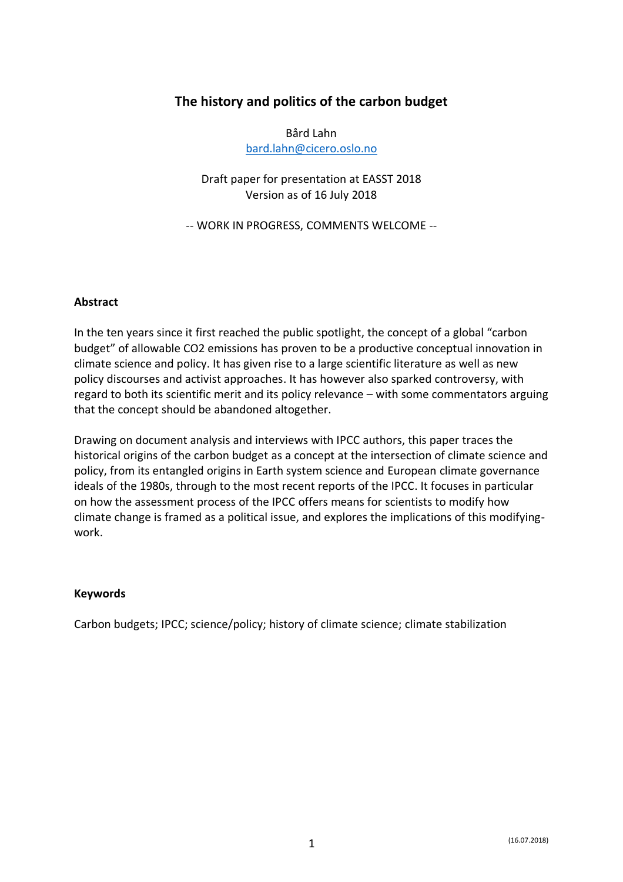# **The history and politics of the carbon budget**

Bård Lahn [bard.lahn@cicero.oslo.no](mailto:bard.lahn@cicero.oslo.no)

Draft paper for presentation at EASST 2018 Version as of 16 July 2018

-- WORK IN PROGRESS, COMMENTS WELCOME --

### **Abstract**

In the ten years since it first reached the public spotlight, the concept of a global "carbon budget" of allowable CO2 emissions has proven to be a productive conceptual innovation in climate science and policy. It has given rise to a large scientific literature as well as new policy discourses and activist approaches. It has however also sparked controversy, with regard to both its scientific merit and its policy relevance – with some commentators arguing that the concept should be abandoned altogether.

Drawing on document analysis and interviews with IPCC authors, this paper traces the historical origins of the carbon budget as a concept at the intersection of climate science and policy, from its entangled origins in Earth system science and European climate governance ideals of the 1980s, through to the most recent reports of the IPCC. It focuses in particular on how the assessment process of the IPCC offers means for scientists to modify how climate change is framed as a political issue, and explores the implications of this modifyingwork.

#### **Keywords**

Carbon budgets; IPCC; science/policy; history of climate science; climate stabilization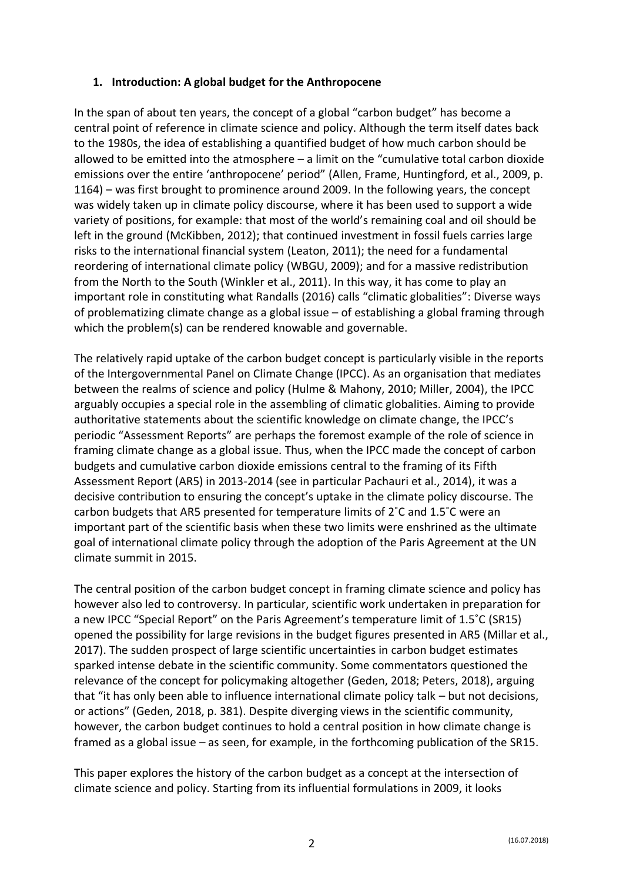### **1. Introduction: A global budget for the Anthropocene**

In the span of about ten years, the concept of a global "carbon budget" has become a central point of reference in climate science and policy. Although the term itself dates back to the 1980s, the idea of establishing a quantified budget of how much carbon should be allowed to be emitted into the atmosphere – a limit on the "cumulative total carbon dioxide emissions over the entire 'anthropocene' period" (Allen, Frame, Huntingford, et al., 2009, p. 1164) – was first brought to prominence around 2009. In the following years, the concept was widely taken up in climate policy discourse, where it has been used to support a wide variety of positions, for example: that most of the world's remaining coal and oil should be left in the ground (McKibben, 2012); that continued investment in fossil fuels carries large risks to the international financial system (Leaton, 2011); the need for a fundamental reordering of international climate policy (WBGU, 2009); and for a massive redistribution from the North to the South (Winkler et al., 2011). In this way, it has come to play an important role in constituting what Randalls (2016) calls "climatic globalities": Diverse ways of problematizing climate change as a global issue – of establishing a global framing through which the problem(s) can be rendered knowable and governable.

The relatively rapid uptake of the carbon budget concept is particularly visible in the reports of the Intergovernmental Panel on Climate Change (IPCC). As an organisation that mediates between the realms of science and policy (Hulme & Mahony, 2010; Miller, 2004), the IPCC arguably occupies a special role in the assembling of climatic globalities. Aiming to provide authoritative statements about the scientific knowledge on climate change, the IPCC's periodic "Assessment Reports" are perhaps the foremost example of the role of science in framing climate change as a global issue. Thus, when the IPCC made the concept of carbon budgets and cumulative carbon dioxide emissions central to the framing of its Fifth Assessment Report (AR5) in 2013-2014 (see in particular Pachauri et al., 2014), it was a decisive contribution to ensuring the concept's uptake in the climate policy discourse. The carbon budgets that AR5 presented for temperature limits of 2˚C and 1.5˚C were an important part of the scientific basis when these two limits were enshrined as the ultimate goal of international climate policy through the adoption of the Paris Agreement at the UN climate summit in 2015.

The central position of the carbon budget concept in framing climate science and policy has however also led to controversy. In particular, scientific work undertaken in preparation for a new IPCC "Special Report" on the Paris Agreement's temperature limit of 1.5˚C (SR15) opened the possibility for large revisions in the budget figures presented in AR5 (Millar et al., 2017). The sudden prospect of large scientific uncertainties in carbon budget estimates sparked intense debate in the scientific community. Some commentators questioned the relevance of the concept for policymaking altogether (Geden, 2018; Peters, 2018), arguing that "it has only been able to influence international climate policy talk – but not decisions, or actions" (Geden, 2018, p. 381). Despite diverging views in the scientific community, however, the carbon budget continues to hold a central position in how climate change is framed as a global issue – as seen, for example, in the forthcoming publication of the SR15.

This paper explores the history of the carbon budget as a concept at the intersection of climate science and policy. Starting from its influential formulations in 2009, it looks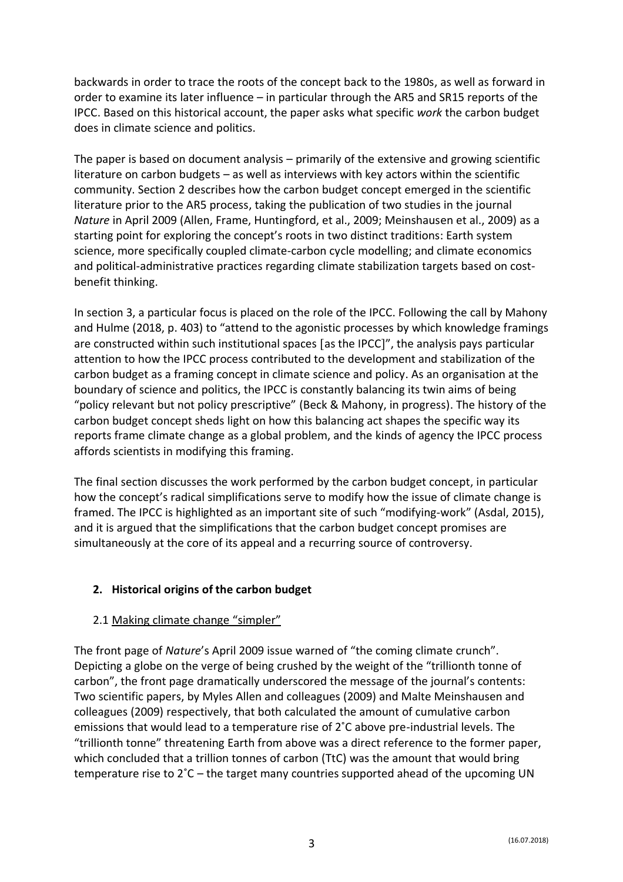backwards in order to trace the roots of the concept back to the 1980s, as well as forward in order to examine its later influence – in particular through the AR5 and SR15 reports of the IPCC. Based on this historical account, the paper asks what specific *work* the carbon budget does in climate science and politics.

The paper is based on document analysis – primarily of the extensive and growing scientific literature on carbon budgets – as well as interviews with key actors within the scientific community. Section 2 describes how the carbon budget concept emerged in the scientific literature prior to the AR5 process, taking the publication of two studies in the journal *Nature* in April 2009 (Allen, Frame, Huntingford, et al., 2009; Meinshausen et al., 2009) as a starting point for exploring the concept's roots in two distinct traditions: Earth system science, more specifically coupled climate-carbon cycle modelling; and climate economics and political-administrative practices regarding climate stabilization targets based on costbenefit thinking.

In section 3, a particular focus is placed on the role of the IPCC. Following the call by Mahony and Hulme (2018, p. 403) to "attend to the agonistic processes by which knowledge framings are constructed within such institutional spaces [as the IPCC]", the analysis pays particular attention to how the IPCC process contributed to the development and stabilization of the carbon budget as a framing concept in climate science and policy. As an organisation at the boundary of science and politics, the IPCC is constantly balancing its twin aims of being "policy relevant but not policy prescriptive" (Beck & Mahony, in progress). The history of the carbon budget concept sheds light on how this balancing act shapes the specific way its reports frame climate change as a global problem, and the kinds of agency the IPCC process affords scientists in modifying this framing.

The final section discusses the work performed by the carbon budget concept, in particular how the concept's radical simplifications serve to modify how the issue of climate change is framed. The IPCC is highlighted as an important site of such "modifying-work" (Asdal, 2015), and it is argued that the simplifications that the carbon budget concept promises are simultaneously at the core of its appeal and a recurring source of controversy.

# **2. Historical origins of the carbon budget**

## 2.1 Making climate change "simpler"

The front page of *Nature*'s April 2009 issue warned of "the coming climate crunch". Depicting a globe on the verge of being crushed by the weight of the "trillionth tonne of carbon", the front page dramatically underscored the message of the journal's contents: Two scientific papers, by Myles Allen and colleagues (2009) and Malte Meinshausen and colleagues (2009) respectively, that both calculated the amount of cumulative carbon emissions that would lead to a temperature rise of 2˚C above pre-industrial levels. The "trillionth tonne" threatening Earth from above was a direct reference to the former paper, which concluded that a trillion tonnes of carbon (TtC) was the amount that would bring temperature rise to  $2^{\circ}C$  – the target many countries supported ahead of the upcoming UN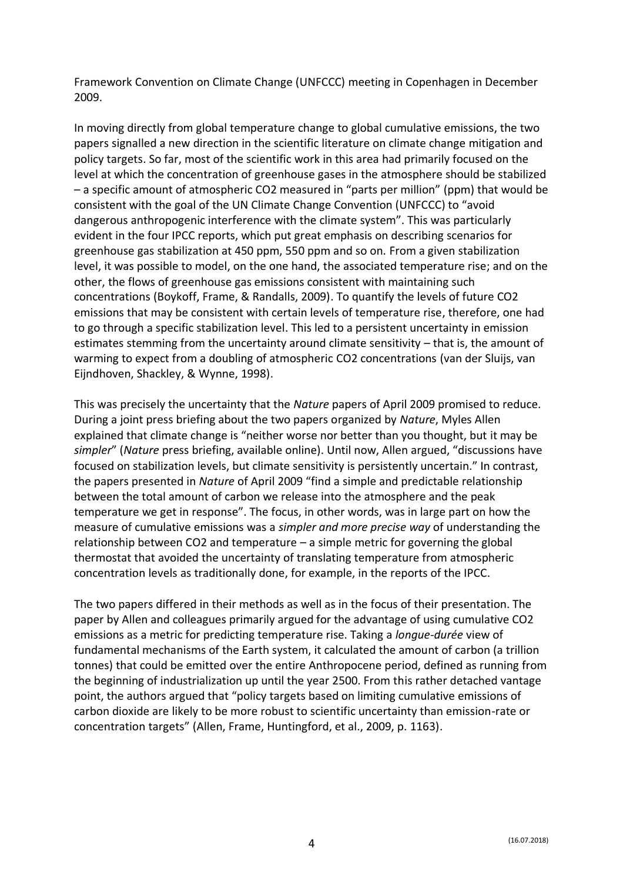Framework Convention on Climate Change (UNFCCC) meeting in Copenhagen in December 2009.

In moving directly from global temperature change to global cumulative emissions, the two papers signalled a new direction in the scientific literature on climate change mitigation and policy targets. So far, most of the scientific work in this area had primarily focused on the level at which the concentration of greenhouse gases in the atmosphere should be stabilized – a specific amount of atmospheric CO2 measured in "parts per million" (ppm) that would be consistent with the goal of the UN Climate Change Convention (UNFCCC) to "avoid dangerous anthropogenic interference with the climate system". This was particularly evident in the four IPCC reports, which put great emphasis on describing scenarios for greenhouse gas stabilization at 450 ppm, 550 ppm and so on. From a given stabilization level, it was possible to model, on the one hand, the associated temperature rise; and on the other, the flows of greenhouse gas emissions consistent with maintaining such concentrations (Boykoff, Frame, & Randalls, 2009). To quantify the levels of future CO2 emissions that may be consistent with certain levels of temperature rise, therefore, one had to go through a specific stabilization level. This led to a persistent uncertainty in emission estimates stemming from the uncertainty around climate sensitivity – that is, the amount of warming to expect from a doubling of atmospheric CO2 concentrations (van der Sluijs, van Eijndhoven, Shackley, & Wynne, 1998).

This was precisely the uncertainty that the *Nature* papers of April 2009 promised to reduce. During a joint press briefing about the two papers organized by *Nature*, Myles Allen explained that climate change is "neither worse nor better than you thought, but it may be *simpler*" (*Nature* press briefing, available online). Until now, Allen argued, "discussions have focused on stabilization levels, but climate sensitivity is persistently uncertain." In contrast, the papers presented in *Nature* of April 2009 "find a simple and predictable relationship between the total amount of carbon we release into the atmosphere and the peak temperature we get in response". The focus, in other words, was in large part on how the measure of cumulative emissions was a *simpler and more precise way* of understanding the relationship between CO2 and temperature – a simple metric for governing the global thermostat that avoided the uncertainty of translating temperature from atmospheric concentration levels as traditionally done, for example, in the reports of the IPCC.

The two papers differed in their methods as well as in the focus of their presentation. The paper by Allen and colleagues primarily argued for the advantage of using cumulative CO2 emissions as a metric for predicting temperature rise. Taking a *longue-durée* view of fundamental mechanisms of the Earth system, it calculated the amount of carbon (a trillion tonnes) that could be emitted over the entire Anthropocene period, defined as running from the beginning of industrialization up until the year 2500. From this rather detached vantage point, the authors argued that "policy targets based on limiting cumulative emissions of carbon dioxide are likely to be more robust to scientific uncertainty than emission-rate or concentration targets" (Allen, Frame, Huntingford, et al., 2009, p. 1163).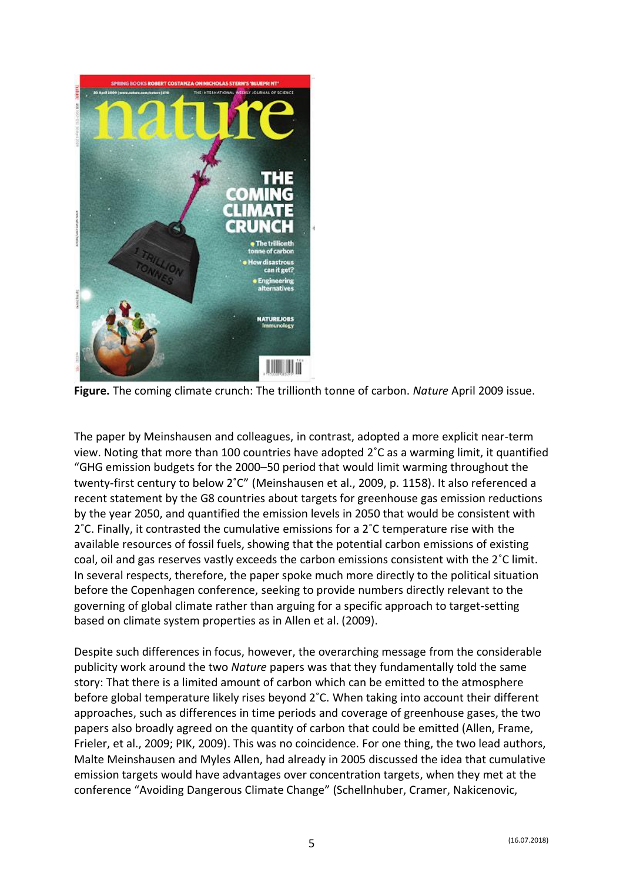

**Figure.** The coming climate crunch: The trillionth tonne of carbon. *Nature* April 2009 issue.

The paper by Meinshausen and colleagues, in contrast, adopted a more explicit near-term view. Noting that more than 100 countries have adopted 2˚C as a warming limit, it quantified "GHG emission budgets for the 2000–50 period that would limit warming throughout the twenty-first century to below 2˚C" (Meinshausen et al., 2009, p. 1158). It also referenced a recent statement by the G8 countries about targets for greenhouse gas emission reductions by the year 2050, and quantified the emission levels in 2050 that would be consistent with  $2^{\circ}$ C. Finally, it contrasted the cumulative emissions for a  $2^{\circ}$ C temperature rise with the available resources of fossil fuels, showing that the potential carbon emissions of existing coal, oil and gas reserves vastly exceeds the carbon emissions consistent with the 2˚C limit. In several respects, therefore, the paper spoke much more directly to the political situation before the Copenhagen conference, seeking to provide numbers directly relevant to the governing of global climate rather than arguing for a specific approach to target-setting based on climate system properties as in Allen et al. (2009).

Despite such differences in focus, however, the overarching message from the considerable publicity work around the two *Nature* papers was that they fundamentally told the same story: That there is a limited amount of carbon which can be emitted to the atmosphere before global temperature likely rises beyond 2˚C. When taking into account their different approaches, such as differences in time periods and coverage of greenhouse gases, the two papers also broadly agreed on the quantity of carbon that could be emitted (Allen, Frame, Frieler, et al., 2009; PIK, 2009). This was no coincidence. For one thing, the two lead authors, Malte Meinshausen and Myles Allen, had already in 2005 discussed the idea that cumulative emission targets would have advantages over concentration targets, when they met at the conference "Avoiding Dangerous Climate Change" (Schellnhuber, Cramer, Nakicenovic,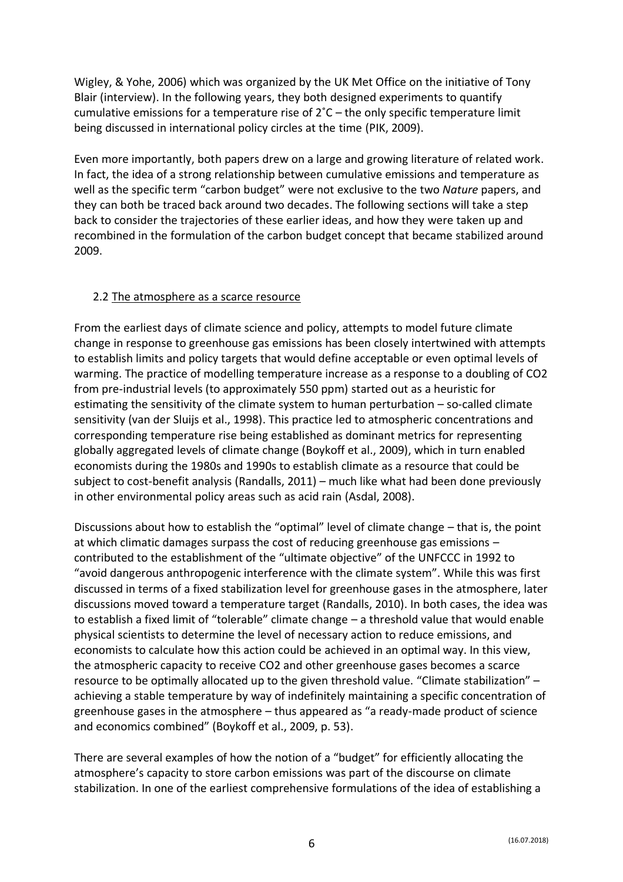Wigley, & Yohe, 2006) which was organized by the UK Met Office on the initiative of Tony Blair (interview). In the following years, they both designed experiments to quantify cumulative emissions for a temperature rise of  $2^{\circ}$ C – the only specific temperature limit being discussed in international policy circles at the time (PIK, 2009).

Even more importantly, both papers drew on a large and growing literature of related work. In fact, the idea of a strong relationship between cumulative emissions and temperature as well as the specific term "carbon budget" were not exclusive to the two *Nature* papers, and they can both be traced back around two decades. The following sections will take a step back to consider the trajectories of these earlier ideas, and how they were taken up and recombined in the formulation of the carbon budget concept that became stabilized around 2009.

### 2.2 The atmosphere as a scarce resource

From the earliest days of climate science and policy, attempts to model future climate change in response to greenhouse gas emissions has been closely intertwined with attempts to establish limits and policy targets that would define acceptable or even optimal levels of warming. The practice of modelling temperature increase as a response to a doubling of CO2 from pre-industrial levels (to approximately 550 ppm) started out as a heuristic for estimating the sensitivity of the climate system to human perturbation – so-called climate sensitivity (van der Sluijs et al., 1998). This practice led to atmospheric concentrations and corresponding temperature rise being established as dominant metrics for representing globally aggregated levels of climate change (Boykoff et al., 2009), which in turn enabled economists during the 1980s and 1990s to establish climate as a resource that could be subject to cost-benefit analysis (Randalls, 2011) – much like what had been done previously in other environmental policy areas such as acid rain (Asdal, 2008).

Discussions about how to establish the "optimal" level of climate change – that is, the point at which climatic damages surpass the cost of reducing greenhouse gas emissions – contributed to the establishment of the "ultimate objective" of the UNFCCC in 1992 to "avoid dangerous anthropogenic interference with the climate system". While this was first discussed in terms of a fixed stabilization level for greenhouse gases in the atmosphere, later discussions moved toward a temperature target (Randalls, 2010). In both cases, the idea was to establish a fixed limit of "tolerable" climate change – a threshold value that would enable physical scientists to determine the level of necessary action to reduce emissions, and economists to calculate how this action could be achieved in an optimal way. In this view, the atmospheric capacity to receive CO2 and other greenhouse gases becomes a scarce resource to be optimally allocated up to the given threshold value. "Climate stabilization" – achieving a stable temperature by way of indefinitely maintaining a specific concentration of greenhouse gases in the atmosphere – thus appeared as "a ready-made product of science and economics combined" (Boykoff et al., 2009, p. 53).

There are several examples of how the notion of a "budget" for efficiently allocating the atmosphere's capacity to store carbon emissions was part of the discourse on climate stabilization. In one of the earliest comprehensive formulations of the idea of establishing a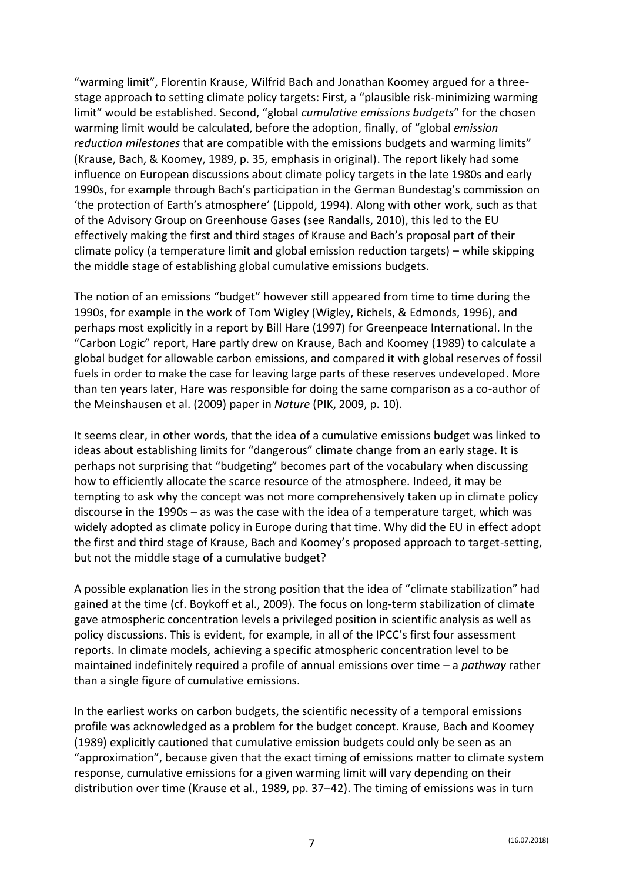"warming limit", Florentin Krause, Wilfrid Bach and Jonathan Koomey argued for a threestage approach to setting climate policy targets: First, a "plausible risk-minimizing warming limit" would be established. Second, "global *cumulative emissions budgets*" for the chosen warming limit would be calculated, before the adoption, finally, of "global *emission reduction milestones* that are compatible with the emissions budgets and warming limits" (Krause, Bach, & Koomey, 1989, p. 35, emphasis in original). The report likely had some influence on European discussions about climate policy targets in the late 1980s and early 1990s, for example through Bach's participation in the German Bundestag's commission on 'the protection of Earth's atmosphere' (Lippold, 1994). Along with other work, such as that of the Advisory Group on Greenhouse Gases (see Randalls, 2010), this led to the EU effectively making the first and third stages of Krause and Bach's proposal part of their climate policy (a temperature limit and global emission reduction targets) – while skipping the middle stage of establishing global cumulative emissions budgets.

The notion of an emissions "budget" however still appeared from time to time during the 1990s, for example in the work of Tom Wigley (Wigley, Richels, & Edmonds, 1996), and perhaps most explicitly in a report by Bill Hare (1997) for Greenpeace International. In the "Carbon Logic" report, Hare partly drew on Krause, Bach and Koomey (1989) to calculate a global budget for allowable carbon emissions, and compared it with global reserves of fossil fuels in order to make the case for leaving large parts of these reserves undeveloped. More than ten years later, Hare was responsible for doing the same comparison as a co-author of the Meinshausen et al. (2009) paper in *Nature* (PIK, 2009, p. 10).

It seems clear, in other words, that the idea of a cumulative emissions budget was linked to ideas about establishing limits for "dangerous" climate change from an early stage. It is perhaps not surprising that "budgeting" becomes part of the vocabulary when discussing how to efficiently allocate the scarce resource of the atmosphere. Indeed, it may be tempting to ask why the concept was not more comprehensively taken up in climate policy discourse in the 1990s – as was the case with the idea of a temperature target, which was widely adopted as climate policy in Europe during that time. Why did the EU in effect adopt the first and third stage of Krause, Bach and Koomey's proposed approach to target-setting, but not the middle stage of a cumulative budget?

A possible explanation lies in the strong position that the idea of "climate stabilization" had gained at the time (cf. Boykoff et al., 2009). The focus on long-term stabilization of climate gave atmospheric concentration levels a privileged position in scientific analysis as well as policy discussions. This is evident, for example, in all of the IPCC's first four assessment reports. In climate models, achieving a specific atmospheric concentration level to be maintained indefinitely required a profile of annual emissions over time – a *pathway* rather than a single figure of cumulative emissions.

In the earliest works on carbon budgets, the scientific necessity of a temporal emissions profile was acknowledged as a problem for the budget concept. Krause, Bach and Koomey (1989) explicitly cautioned that cumulative emission budgets could only be seen as an "approximation", because given that the exact timing of emissions matter to climate system response, cumulative emissions for a given warming limit will vary depending on their distribution over time (Krause et al., 1989, pp. 37–42). The timing of emissions was in turn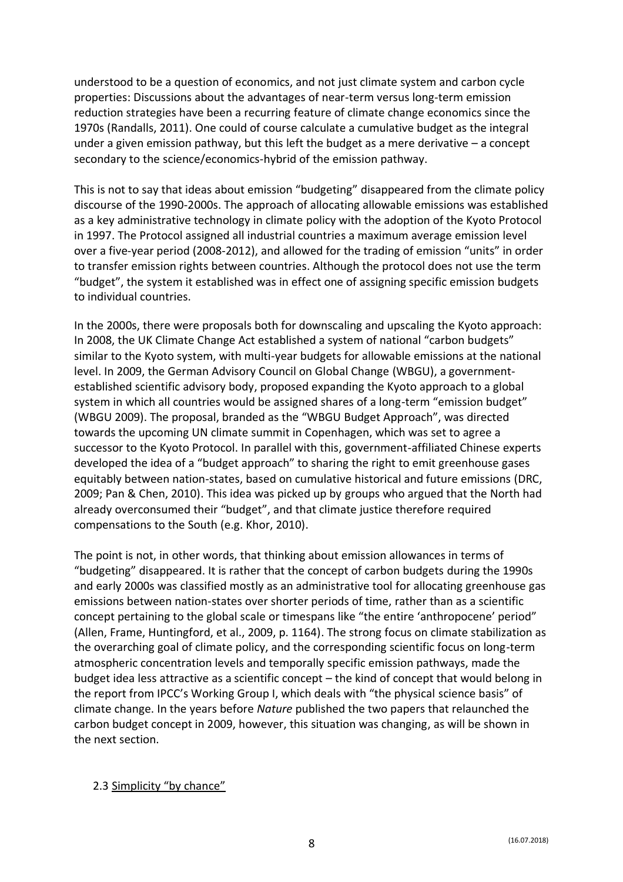understood to be a question of economics, and not just climate system and carbon cycle properties: Discussions about the advantages of near-term versus long-term emission reduction strategies have been a recurring feature of climate change economics since the 1970s (Randalls, 2011). One could of course calculate a cumulative budget as the integral under a given emission pathway, but this left the budget as a mere derivative – a concept secondary to the science/economics-hybrid of the emission pathway.

This is not to say that ideas about emission "budgeting" disappeared from the climate policy discourse of the 1990-2000s. The approach of allocating allowable emissions was established as a key administrative technology in climate policy with the adoption of the Kyoto Protocol in 1997. The Protocol assigned all industrial countries a maximum average emission level over a five-year period (2008-2012), and allowed for the trading of emission "units" in order to transfer emission rights between countries. Although the protocol does not use the term "budget", the system it established was in effect one of assigning specific emission budgets to individual countries.

In the 2000s, there were proposals both for downscaling and upscaling the Kyoto approach: In 2008, the UK Climate Change Act established a system of national "carbon budgets" similar to the Kyoto system, with multi-year budgets for allowable emissions at the national level. In 2009, the German Advisory Council on Global Change (WBGU), a governmentestablished scientific advisory body, proposed expanding the Kyoto approach to a global system in which all countries would be assigned shares of a long-term "emission budget" (WBGU 2009). The proposal, branded as the "WBGU Budget Approach", was directed towards the upcoming UN climate summit in Copenhagen, which was set to agree a successor to the Kyoto Protocol. In parallel with this, government-affiliated Chinese experts developed the idea of a "budget approach" to sharing the right to emit greenhouse gases equitably between nation-states, based on cumulative historical and future emissions (DRC, 2009; Pan & Chen, 2010). This idea was picked up by groups who argued that the North had already overconsumed their "budget", and that climate justice therefore required compensations to the South (e.g. Khor, 2010).

The point is not, in other words, that thinking about emission allowances in terms of "budgeting" disappeared. It is rather that the concept of carbon budgets during the 1990s and early 2000s was classified mostly as an administrative tool for allocating greenhouse gas emissions between nation-states over shorter periods of time, rather than as a scientific concept pertaining to the global scale or timespans like "the entire 'anthropocene' period" (Allen, Frame, Huntingford, et al., 2009, p. 1164). The strong focus on climate stabilization as the overarching goal of climate policy, and the corresponding scientific focus on long-term atmospheric concentration levels and temporally specific emission pathways, made the budget idea less attractive as a scientific concept – the kind of concept that would belong in the report from IPCC's Working Group I, which deals with "the physical science basis" of climate change. In the years before *Nature* published the two papers that relaunched the carbon budget concept in 2009, however, this situation was changing, as will be shown in the next section.

## 2.3 Simplicity "by chance"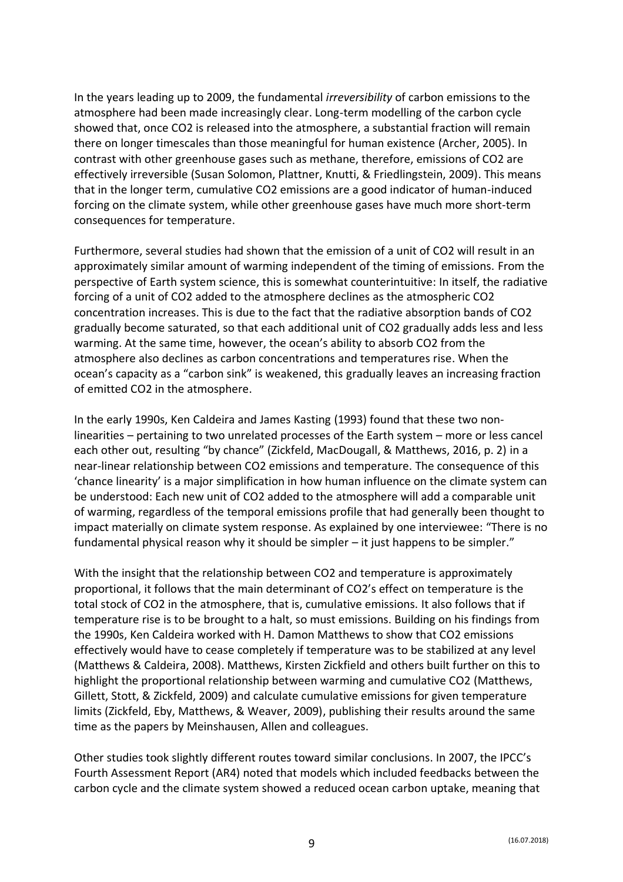In the years leading up to 2009, the fundamental *irreversibility* of carbon emissions to the atmosphere had been made increasingly clear. Long-term modelling of the carbon cycle showed that, once CO2 is released into the atmosphere, a substantial fraction will remain there on longer timescales than those meaningful for human existence (Archer, 2005). In contrast with other greenhouse gases such as methane, therefore, emissions of CO2 are effectively irreversible (Susan Solomon, Plattner, Knutti, & Friedlingstein, 2009). This means that in the longer term, cumulative CO2 emissions are a good indicator of human-induced forcing on the climate system, while other greenhouse gases have much more short-term consequences for temperature.

Furthermore, several studies had shown that the emission of a unit of CO2 will result in an approximately similar amount of warming independent of the timing of emissions. From the perspective of Earth system science, this is somewhat counterintuitive: In itself, the radiative forcing of a unit of CO2 added to the atmosphere declines as the atmospheric CO2 concentration increases. This is due to the fact that the radiative absorption bands of CO2 gradually become saturated, so that each additional unit of CO2 gradually adds less and less warming. At the same time, however, the ocean's ability to absorb CO2 from the atmosphere also declines as carbon concentrations and temperatures rise. When the ocean's capacity as a "carbon sink" is weakened, this gradually leaves an increasing fraction of emitted CO2 in the atmosphere.

In the early 1990s, Ken Caldeira and James Kasting (1993) found that these two nonlinearities – pertaining to two unrelated processes of the Earth system – more or less cancel each other out, resulting "by chance" (Zickfeld, MacDougall, & Matthews, 2016, p. 2) in a near-linear relationship between CO2 emissions and temperature. The consequence of this 'chance linearity' is a major simplification in how human influence on the climate system can be understood: Each new unit of CO2 added to the atmosphere will add a comparable unit of warming, regardless of the temporal emissions profile that had generally been thought to impact materially on climate system response. As explained by one interviewee: "There is no fundamental physical reason why it should be simpler – it just happens to be simpler."

With the insight that the relationship between CO2 and temperature is approximately proportional, it follows that the main determinant of CO2's effect on temperature is the total stock of CO2 in the atmosphere, that is, cumulative emissions. It also follows that if temperature rise is to be brought to a halt, so must emissions. Building on his findings from the 1990s, Ken Caldeira worked with H. Damon Matthews to show that CO2 emissions effectively would have to cease completely if temperature was to be stabilized at any level (Matthews & Caldeira, 2008). Matthews, Kirsten Zickfield and others built further on this to highlight the proportional relationship between warming and cumulative CO2 (Matthews, Gillett, Stott, & Zickfeld, 2009) and calculate cumulative emissions for given temperature limits (Zickfeld, Eby, Matthews, & Weaver, 2009), publishing their results around the same time as the papers by Meinshausen, Allen and colleagues.

Other studies took slightly different routes toward similar conclusions. In 2007, the IPCC's Fourth Assessment Report (AR4) noted that models which included feedbacks between the carbon cycle and the climate system showed a reduced ocean carbon uptake, meaning that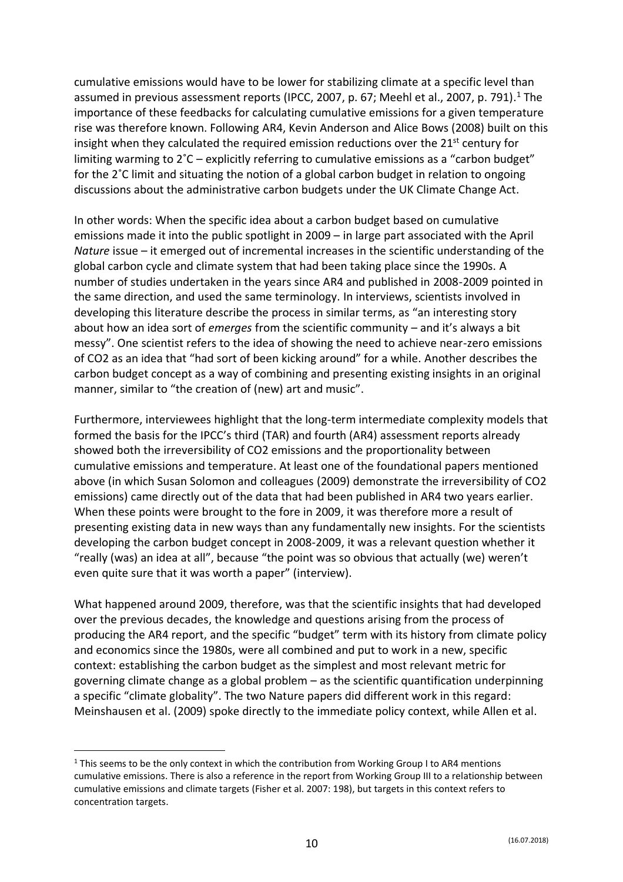cumulative emissions would have to be lower for stabilizing climate at a specific level than assumed in previous assessment reports (IPCC, 2007, p. 67; Meehl et al., 2007, p. 791).<sup>1</sup> The importance of these feedbacks for calculating cumulative emissions for a given temperature rise was therefore known. Following AR4, Kevin Anderson and Alice Bows (2008) built on this insight when they calculated the required emission reductions over the  $21^{st}$  century for limiting warming to 2˚C – explicitly referring to cumulative emissions as a "carbon budget" for the 2˚C limit and situating the notion of a global carbon budget in relation to ongoing discussions about the administrative carbon budgets under the UK Climate Change Act.

In other words: When the specific idea about a carbon budget based on cumulative emissions made it into the public spotlight in 2009 – in large part associated with the April *Nature* issue – it emerged out of incremental increases in the scientific understanding of the global carbon cycle and climate system that had been taking place since the 1990s. A number of studies undertaken in the years since AR4 and published in 2008-2009 pointed in the same direction, and used the same terminology. In interviews, scientists involved in developing this literature describe the process in similar terms, as "an interesting story about how an idea sort of *emerges* from the scientific community – and it's always a bit messy". One scientist refers to the idea of showing the need to achieve near-zero emissions of CO2 as an idea that "had sort of been kicking around" for a while. Another describes the carbon budget concept as a way of combining and presenting existing insights in an original manner, similar to "the creation of (new) art and music".

Furthermore, interviewees highlight that the long-term intermediate complexity models that formed the basis for the IPCC's third (TAR) and fourth (AR4) assessment reports already showed both the irreversibility of CO2 emissions and the proportionality between cumulative emissions and temperature. At least one of the foundational papers mentioned above (in which Susan Solomon and colleagues (2009) demonstrate the irreversibility of CO2 emissions) came directly out of the data that had been published in AR4 two years earlier. When these points were brought to the fore in 2009, it was therefore more a result of presenting existing data in new ways than any fundamentally new insights. For the scientists developing the carbon budget concept in 2008-2009, it was a relevant question whether it "really (was) an idea at all", because "the point was so obvious that actually (we) weren't even quite sure that it was worth a paper" (interview).

What happened around 2009, therefore, was that the scientific insights that had developed over the previous decades, the knowledge and questions arising from the process of producing the AR4 report, and the specific "budget" term with its history from climate policy and economics since the 1980s, were all combined and put to work in a new, specific context: establishing the carbon budget as the simplest and most relevant metric for governing climate change as a global problem – as the scientific quantification underpinning a specific "climate globality". The two Nature papers did different work in this regard: Meinshausen et al. (2009) spoke directly to the immediate policy context, while Allen et al.

l

 $1$  This seems to be the only context in which the contribution from Working Group I to AR4 mentions cumulative emissions. There is also a reference in the report from Working Group III to a relationship between cumulative emissions and climate targets (Fisher et al. 2007: 198), but targets in this context refers to concentration targets.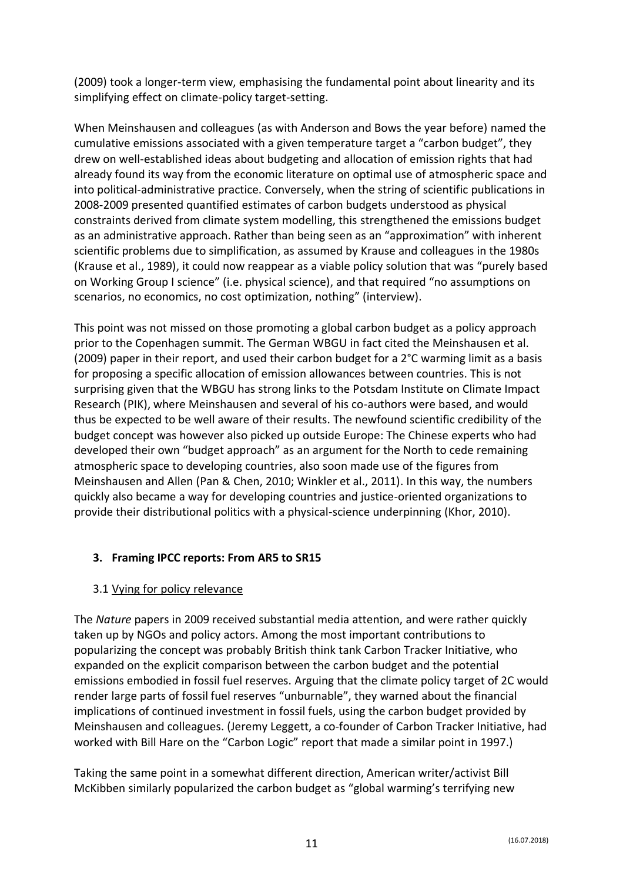(2009) took a longer-term view, emphasising the fundamental point about linearity and its simplifying effect on climate-policy target-setting.

When Meinshausen and colleagues (as with Anderson and Bows the year before) named the cumulative emissions associated with a given temperature target a "carbon budget", they drew on well-established ideas about budgeting and allocation of emission rights that had already found its way from the economic literature on optimal use of atmospheric space and into political-administrative practice. Conversely, when the string of scientific publications in 2008-2009 presented quantified estimates of carbon budgets understood as physical constraints derived from climate system modelling, this strengthened the emissions budget as an administrative approach. Rather than being seen as an "approximation" with inherent scientific problems due to simplification, as assumed by Krause and colleagues in the 1980s (Krause et al., 1989), it could now reappear as a viable policy solution that was "purely based on Working Group I science" (i.e. physical science), and that required "no assumptions on scenarios, no economics, no cost optimization, nothing" (interview).

This point was not missed on those promoting a global carbon budget as a policy approach prior to the Copenhagen summit. The German WBGU in fact cited the Meinshausen et al. (2009) paper in their report, and used their carbon budget for a 2°C warming limit as a basis for proposing a specific allocation of emission allowances between countries. This is not surprising given that the WBGU has strong links to the Potsdam Institute on Climate Impact Research (PIK), where Meinshausen and several of his co-authors were based, and would thus be expected to be well aware of their results. The newfound scientific credibility of the budget concept was however also picked up outside Europe: The Chinese experts who had developed their own "budget approach" as an argument for the North to cede remaining atmospheric space to developing countries, also soon made use of the figures from Meinshausen and Allen (Pan & Chen, 2010; Winkler et al., 2011). In this way, the numbers quickly also became a way for developing countries and justice-oriented organizations to provide their distributional politics with a physical-science underpinning (Khor, 2010).

# **3. Framing IPCC reports: From AR5 to SR15**

# 3.1 Vying for policy relevance

The *Nature* papers in 2009 received substantial media attention, and were rather quickly taken up by NGOs and policy actors. Among the most important contributions to popularizing the concept was probably British think tank Carbon Tracker Initiative, who expanded on the explicit comparison between the carbon budget and the potential emissions embodied in fossil fuel reserves. Arguing that the climate policy target of 2C would render large parts of fossil fuel reserves "unburnable", they warned about the financial implications of continued investment in fossil fuels, using the carbon budget provided by Meinshausen and colleagues. (Jeremy Leggett, a co-founder of Carbon Tracker Initiative, had worked with Bill Hare on the "Carbon Logic" report that made a similar point in 1997.)

Taking the same point in a somewhat different direction, American writer/activist Bill McKibben similarly popularized the carbon budget as "global warming's terrifying new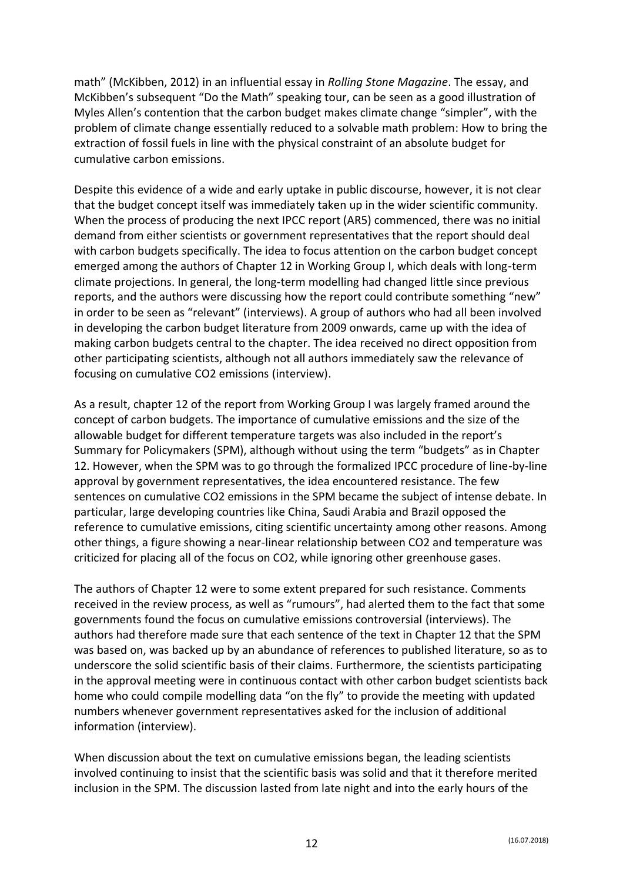math" (McKibben, 2012) in an influential essay in *Rolling Stone Magazine*. The essay, and McKibben's subsequent "Do the Math" speaking tour, can be seen as a good illustration of Myles Allen's contention that the carbon budget makes climate change "simpler", with the problem of climate change essentially reduced to a solvable math problem: How to bring the extraction of fossil fuels in line with the physical constraint of an absolute budget for cumulative carbon emissions.

Despite this evidence of a wide and early uptake in public discourse, however, it is not clear that the budget concept itself was immediately taken up in the wider scientific community. When the process of producing the next IPCC report (AR5) commenced, there was no initial demand from either scientists or government representatives that the report should deal with carbon budgets specifically. The idea to focus attention on the carbon budget concept emerged among the authors of Chapter 12 in Working Group I, which deals with long-term climate projections. In general, the long-term modelling had changed little since previous reports, and the authors were discussing how the report could contribute something "new" in order to be seen as "relevant" (interviews). A group of authors who had all been involved in developing the carbon budget literature from 2009 onwards, came up with the idea of making carbon budgets central to the chapter. The idea received no direct opposition from other participating scientists, although not all authors immediately saw the relevance of focusing on cumulative CO2 emissions (interview).

As a result, chapter 12 of the report from Working Group I was largely framed around the concept of carbon budgets. The importance of cumulative emissions and the size of the allowable budget for different temperature targets was also included in the report's Summary for Policymakers (SPM), although without using the term "budgets" as in Chapter 12. However, when the SPM was to go through the formalized IPCC procedure of line-by-line approval by government representatives, the idea encountered resistance. The few sentences on cumulative CO2 emissions in the SPM became the subject of intense debate. In particular, large developing countries like China, Saudi Arabia and Brazil opposed the reference to cumulative emissions, citing scientific uncertainty among other reasons. Among other things, a figure showing a near-linear relationship between CO2 and temperature was criticized for placing all of the focus on CO2, while ignoring other greenhouse gases.

The authors of Chapter 12 were to some extent prepared for such resistance. Comments received in the review process, as well as "rumours", had alerted them to the fact that some governments found the focus on cumulative emissions controversial (interviews). The authors had therefore made sure that each sentence of the text in Chapter 12 that the SPM was based on, was backed up by an abundance of references to published literature, so as to underscore the solid scientific basis of their claims. Furthermore, the scientists participating in the approval meeting were in continuous contact with other carbon budget scientists back home who could compile modelling data "on the fly" to provide the meeting with updated numbers whenever government representatives asked for the inclusion of additional information (interview).

When discussion about the text on cumulative emissions began, the leading scientists involved continuing to insist that the scientific basis was solid and that it therefore merited inclusion in the SPM. The discussion lasted from late night and into the early hours of the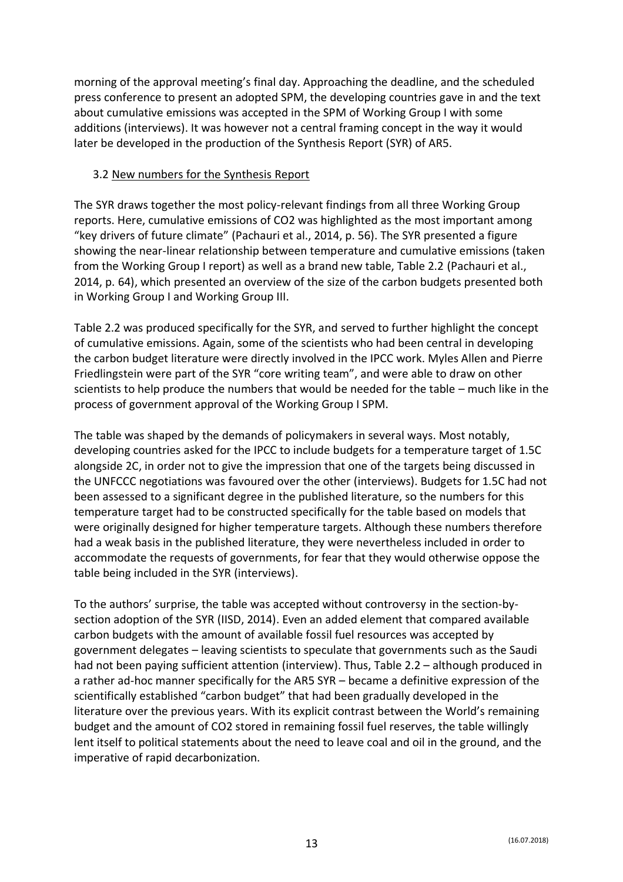morning of the approval meeting's final day. Approaching the deadline, and the scheduled press conference to present an adopted SPM, the developing countries gave in and the text about cumulative emissions was accepted in the SPM of Working Group I with some additions (interviews). It was however not a central framing concept in the way it would later be developed in the production of the Synthesis Report (SYR) of AR5.

### 3.2 New numbers for the Synthesis Report

The SYR draws together the most policy-relevant findings from all three Working Group reports. Here, cumulative emissions of CO2 was highlighted as the most important among "key drivers of future climate" (Pachauri et al., 2014, p. 56). The SYR presented a figure showing the near-linear relationship between temperature and cumulative emissions (taken from the Working Group I report) as well as a brand new table, Table 2.2 (Pachauri et al., 2014, p. 64), which presented an overview of the size of the carbon budgets presented both in Working Group I and Working Group III.

Table 2.2 was produced specifically for the SYR, and served to further highlight the concept of cumulative emissions. Again, some of the scientists who had been central in developing the carbon budget literature were directly involved in the IPCC work. Myles Allen and Pierre Friedlingstein were part of the SYR "core writing team", and were able to draw on other scientists to help produce the numbers that would be needed for the table – much like in the process of government approval of the Working Group I SPM.

The table was shaped by the demands of policymakers in several ways. Most notably, developing countries asked for the IPCC to include budgets for a temperature target of 1.5C alongside 2C, in order not to give the impression that one of the targets being discussed in the UNFCCC negotiations was favoured over the other (interviews). Budgets for 1.5C had not been assessed to a significant degree in the published literature, so the numbers for this temperature target had to be constructed specifically for the table based on models that were originally designed for higher temperature targets. Although these numbers therefore had a weak basis in the published literature, they were nevertheless included in order to accommodate the requests of governments, for fear that they would otherwise oppose the table being included in the SYR (interviews).

To the authors' surprise, the table was accepted without controversy in the section-bysection adoption of the SYR (IISD, 2014). Even an added element that compared available carbon budgets with the amount of available fossil fuel resources was accepted by government delegates – leaving scientists to speculate that governments such as the Saudi had not been paying sufficient attention (interview). Thus, Table 2.2 – although produced in a rather ad-hoc manner specifically for the AR5 SYR – became a definitive expression of the scientifically established "carbon budget" that had been gradually developed in the literature over the previous years. With its explicit contrast between the World's remaining budget and the amount of CO2 stored in remaining fossil fuel reserves, the table willingly lent itself to political statements about the need to leave coal and oil in the ground, and the imperative of rapid decarbonization.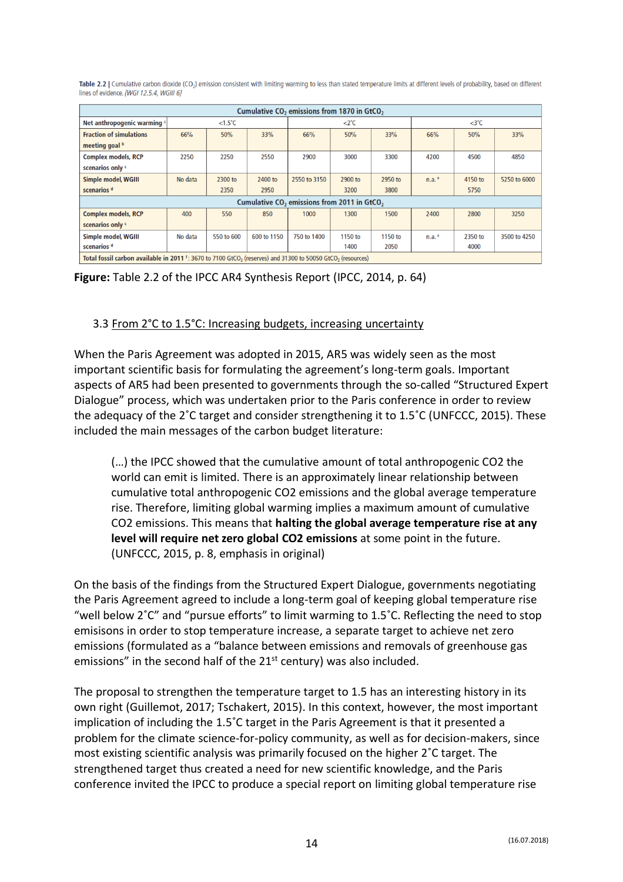Table 2.2 | Cumulative carbon dioxide (CO<sub>2</sub>) emission consistent with limiting warming to less than stated temperature limits at different levels of probability, based on different lines of evidence. (WGI 12.5.4, WGIII 6)

| Cumulative CO <sub>2</sub> emissions from 1870 in GtCO <sub>2</sub>                                                                             |                  |            |             |                    |         |         |                     |         |              |
|-------------------------------------------------------------------------------------------------------------------------------------------------|------------------|------------|-------------|--------------------|---------|---------|---------------------|---------|--------------|
| Net anthropogenic warming a                                                                                                                     | $<1.5^{\circ}$ C |            |             | $<$ 2 $^{\circ}$ C |         |         | $<$ 3 $^{\circ}$ C  |         |              |
| <b>Fraction of simulations</b>                                                                                                                  | 66%              | 50%        | 33%         | 66%                | 50%     | 33%     | 66%                 | 50%     | 33%          |
| meeting goal b                                                                                                                                  |                  |            |             |                    |         |         |                     |         |              |
| <b>Complex models, RCP</b>                                                                                                                      | 2250             | 2250       | 2550        | 2900               | 3000    | 3300    | 4200                | 4500    | 4850         |
| scenarios only c                                                                                                                                |                  |            |             |                    |         |         |                     |         |              |
| Simple model, WGIII                                                                                                                             | No data          | 2300 to    | 2400 to     | 2550 to 3150       | 2900 to | 2950 to | n.a. <sup>e</sup>   | 4150 to | 5250 to 6000 |
| scenarios <sup>d</sup>                                                                                                                          |                  | 2350       | 2950        |                    | 3200    | 3800    |                     | 5750    |              |
| Cumulative CO <sub>2</sub> emissions from 2011 in GtCO <sub>2</sub>                                                                             |                  |            |             |                    |         |         |                     |         |              |
| <b>Complex models, RCP</b>                                                                                                                      | 400              | 550        | 850         | 1000               | 1300    | 1500    | 2400                | 2800    | 3250         |
| scenarios only c                                                                                                                                |                  |            |             |                    |         |         |                     |         |              |
| Simple model, WGIII                                                                                                                             | No data          | 550 to 600 | 600 to 1150 | 750 to 1400        | 1150 to | 1150 to | $n.a.$ <sup>e</sup> | 2350 to | 3500 to 4250 |
| scenarios <sup>d</sup>                                                                                                                          |                  |            |             |                    | 1400    | 2050    |                     | 4000    |              |
| Total fossil carbon available in 2011 <sup>f</sup> : 3670 to 7100 GtCO <sub>2</sub> (reserves) and 31300 to 50050 GtCO <sub>2</sub> (resources) |                  |            |             |                    |         |         |                     |         |              |

**Figure:** Table 2.2 of the IPCC AR4 Synthesis Report (IPCC, 2014, p. 64)

### 3.3 From 2°C to 1.5°C: Increasing budgets, increasing uncertainty

When the Paris Agreement was adopted in 2015, AR5 was widely seen as the most important scientific basis for formulating the agreement's long-term goals. Important aspects of AR5 had been presented to governments through the so-called "Structured Expert Dialogue" process, which was undertaken prior to the Paris conference in order to review the adequacy of the 2˚C target and consider strengthening it to 1.5˚C (UNFCCC, 2015). These included the main messages of the carbon budget literature:

(…) the IPCC showed that the cumulative amount of total anthropogenic CO2 the world can emit is limited. There is an approximately linear relationship between cumulative total anthropogenic CO2 emissions and the global average temperature rise. Therefore, limiting global warming implies a maximum amount of cumulative CO2 emissions. This means that **halting the global average temperature rise at any level will require net zero global CO2 emissions** at some point in the future. (UNFCCC, 2015, p. 8, emphasis in original)

On the basis of the findings from the Structured Expert Dialogue, governments negotiating the Paris Agreement agreed to include a long-term goal of keeping global temperature rise "well below 2˚C" and "pursue efforts" to limit warming to 1.5˚C. Reflecting the need to stop emisisons in order to stop temperature increase, a separate target to achieve net zero emissions (formulated as a "balance between emissions and removals of greenhouse gas emissions" in the second half of the 21<sup>st</sup> century) was also included.

The proposal to strengthen the temperature target to 1.5 has an interesting history in its own right (Guillemot, 2017; Tschakert, 2015). In this context, however, the most important implication of including the 1.5˚C target in the Paris Agreement is that it presented a problem for the climate science-for-policy community, as well as for decision-makers, since most existing scientific analysis was primarily focused on the higher 2˚C target. The strengthened target thus created a need for new scientific knowledge, and the Paris conference invited the IPCC to produce a special report on limiting global temperature rise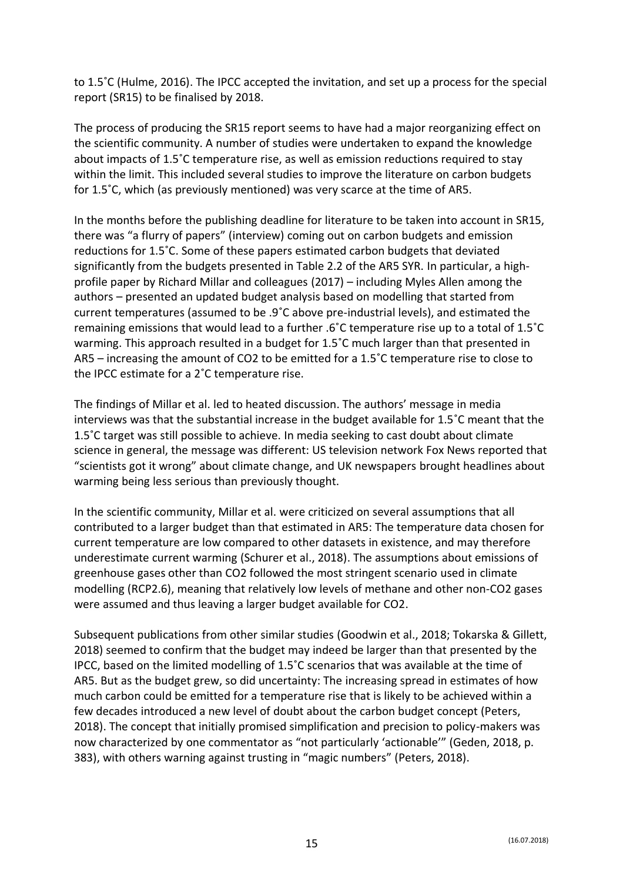to 1.5˚C (Hulme, 2016). The IPCC accepted the invitation, and set up a process for the special report (SR15) to be finalised by 2018.

The process of producing the SR15 report seems to have had a major reorganizing effect on the scientific community. A number of studies were undertaken to expand the knowledge about impacts of 1.5˚C temperature rise, as well as emission reductions required to stay within the limit. This included several studies to improve the literature on carbon budgets for 1.5˚C, which (as previously mentioned) was very scarce at the time of AR5.

In the months before the publishing deadline for literature to be taken into account in SR15, there was "a flurry of papers" (interview) coming out on carbon budgets and emission reductions for 1.5˚C. Some of these papers estimated carbon budgets that deviated significantly from the budgets presented in Table 2.2 of the AR5 SYR. In particular, a highprofile paper by Richard Millar and colleagues (2017) – including Myles Allen among the authors – presented an updated budget analysis based on modelling that started from current temperatures (assumed to be .9˚C above pre-industrial levels), and estimated the remaining emissions that would lead to a further .6˚C temperature rise up to a total of 1.5˚C warming. This approach resulted in a budget for 1.5˚C much larger than that presented in AR5 – increasing the amount of CO2 to be emitted for a 1.5˚C temperature rise to close to the IPCC estimate for a 2˚C temperature rise.

The findings of Millar et al. led to heated discussion. The authors' message in media interviews was that the substantial increase in the budget available for 1.5˚C meant that the 1.5˚C target was still possible to achieve. In media seeking to cast doubt about climate science in general, the message was different: US television network Fox News reported that "scientists got it wrong" about climate change, and UK newspapers brought headlines about warming being less serious than previously thought.

In the scientific community, Millar et al. were criticized on several assumptions that all contributed to a larger budget than that estimated in AR5: The temperature data chosen for current temperature are low compared to other datasets in existence, and may therefore underestimate current warming (Schurer et al., 2018). The assumptions about emissions of greenhouse gases other than CO2 followed the most stringent scenario used in climate modelling (RCP2.6), meaning that relatively low levels of methane and other non-CO2 gases were assumed and thus leaving a larger budget available for CO2.

Subsequent publications from other similar studies (Goodwin et al., 2018; Tokarska & Gillett, 2018) seemed to confirm that the budget may indeed be larger than that presented by the IPCC, based on the limited modelling of 1.5˚C scenarios that was available at the time of AR5. But as the budget grew, so did uncertainty: The increasing spread in estimates of how much carbon could be emitted for a temperature rise that is likely to be achieved within a few decades introduced a new level of doubt about the carbon budget concept (Peters, 2018). The concept that initially promised simplification and precision to policy-makers was now characterized by one commentator as "not particularly 'actionable'" (Geden, 2018, p. 383), with others warning against trusting in "magic numbers" (Peters, 2018).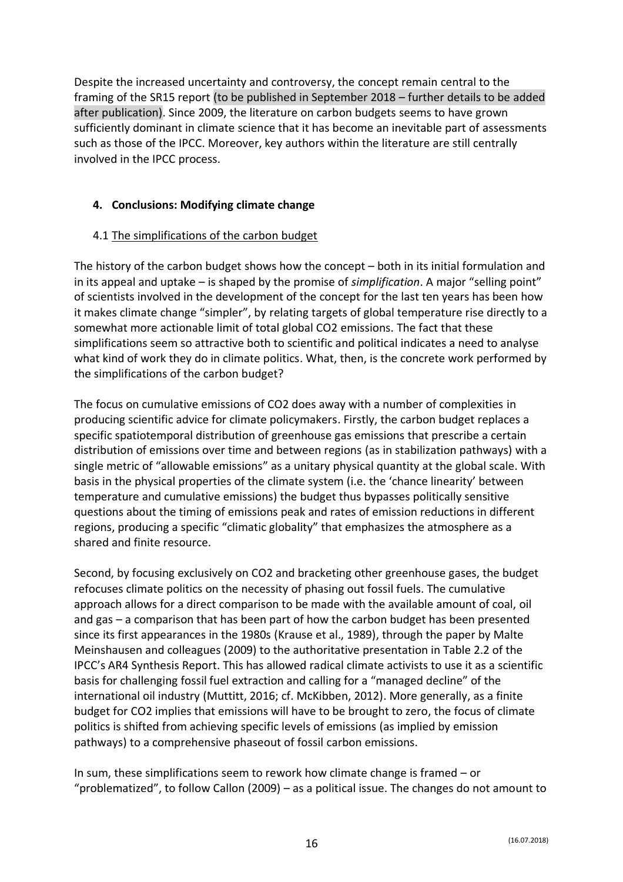Despite the increased uncertainty and controversy, the concept remain central to the framing of the SR15 report (to be published in September 2018 – further details to be added after publication). Since 2009, the literature on carbon budgets seems to have grown sufficiently dominant in climate science that it has become an inevitable part of assessments such as those of the IPCC. Moreover, key authors within the literature are still centrally involved in the IPCC process.

## **4. Conclusions: Modifying climate change**

# 4.1 The simplifications of the carbon budget

The history of the carbon budget shows how the concept – both in its initial formulation and in its appeal and uptake – is shaped by the promise of *simplification*. A major "selling point" of scientists involved in the development of the concept for the last ten years has been how it makes climate change "simpler", by relating targets of global temperature rise directly to a somewhat more actionable limit of total global CO2 emissions. The fact that these simplifications seem so attractive both to scientific and political indicates a need to analyse what kind of work they do in climate politics. What, then, is the concrete work performed by the simplifications of the carbon budget?

The focus on cumulative emissions of CO2 does away with a number of complexities in producing scientific advice for climate policymakers. Firstly, the carbon budget replaces a specific spatiotemporal distribution of greenhouse gas emissions that prescribe a certain distribution of emissions over time and between regions (as in stabilization pathways) with a single metric of "allowable emissions" as a unitary physical quantity at the global scale. With basis in the physical properties of the climate system (i.e. the 'chance linearity' between temperature and cumulative emissions) the budget thus bypasses politically sensitive questions about the timing of emissions peak and rates of emission reductions in different regions, producing a specific "climatic globality" that emphasizes the atmosphere as a shared and finite resource.

Second, by focusing exclusively on CO2 and bracketing other greenhouse gases, the budget refocuses climate politics on the necessity of phasing out fossil fuels. The cumulative approach allows for a direct comparison to be made with the available amount of coal, oil and gas – a comparison that has been part of how the carbon budget has been presented since its first appearances in the 1980s (Krause et al., 1989), through the paper by Malte Meinshausen and colleagues (2009) to the authoritative presentation in Table 2.2 of the IPCC's AR4 Synthesis Report. This has allowed radical climate activists to use it as a scientific basis for challenging fossil fuel extraction and calling for a "managed decline" of the international oil industry (Muttitt, 2016; cf. McKibben, 2012). More generally, as a finite budget for CO2 implies that emissions will have to be brought to zero, the focus of climate politics is shifted from achieving specific levels of emissions (as implied by emission pathways) to a comprehensive phaseout of fossil carbon emissions.

In sum, these simplifications seem to rework how climate change is framed – or "problematized", to follow Callon (2009) – as a political issue. The changes do not amount to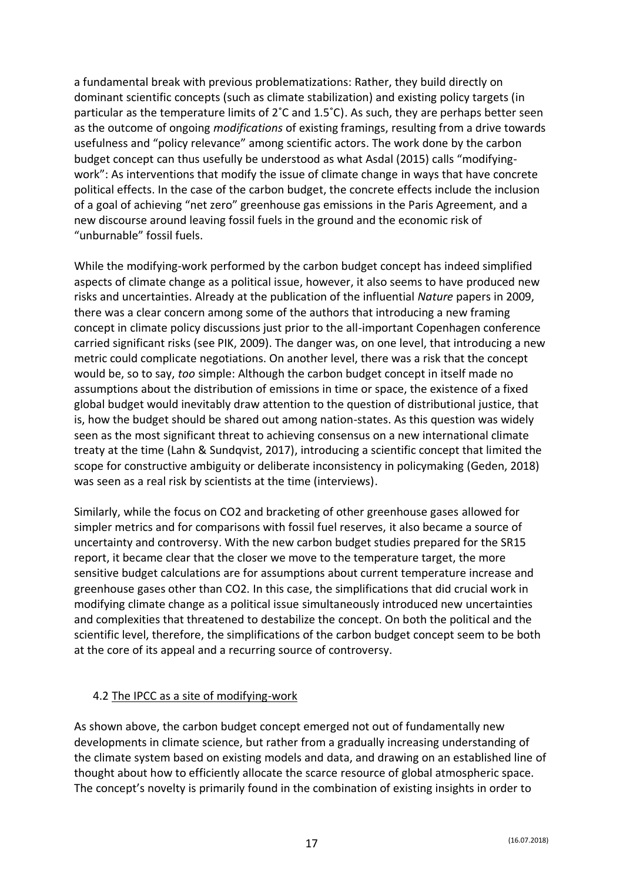a fundamental break with previous problematizations: Rather, they build directly on dominant scientific concepts (such as climate stabilization) and existing policy targets (in particular as the temperature limits of 2˚C and 1.5˚C). As such, they are perhaps better seen as the outcome of ongoing *modifications* of existing framings, resulting from a drive towards usefulness and "policy relevance" among scientific actors. The work done by the carbon budget concept can thus usefully be understood as what Asdal (2015) calls "modifyingwork": As interventions that modify the issue of climate change in ways that have concrete political effects. In the case of the carbon budget, the concrete effects include the inclusion of a goal of achieving "net zero" greenhouse gas emissions in the Paris Agreement, and a new discourse around leaving fossil fuels in the ground and the economic risk of "unburnable" fossil fuels.

While the modifying-work performed by the carbon budget concept has indeed simplified aspects of climate change as a political issue, however, it also seems to have produced new risks and uncertainties. Already at the publication of the influential *Nature* papers in 2009, there was a clear concern among some of the authors that introducing a new framing concept in climate policy discussions just prior to the all-important Copenhagen conference carried significant risks (see PIK, 2009). The danger was, on one level, that introducing a new metric could complicate negotiations. On another level, there was a risk that the concept would be, so to say, *too* simple: Although the carbon budget concept in itself made no assumptions about the distribution of emissions in time or space, the existence of a fixed global budget would inevitably draw attention to the question of distributional justice, that is, how the budget should be shared out among nation-states. As this question was widely seen as the most significant threat to achieving consensus on a new international climate treaty at the time (Lahn & Sundqvist, 2017), introducing a scientific concept that limited the scope for constructive ambiguity or deliberate inconsistency in policymaking (Geden, 2018) was seen as a real risk by scientists at the time (interviews).

Similarly, while the focus on CO2 and bracketing of other greenhouse gases allowed for simpler metrics and for comparisons with fossil fuel reserves, it also became a source of uncertainty and controversy. With the new carbon budget studies prepared for the SR15 report, it became clear that the closer we move to the temperature target, the more sensitive budget calculations are for assumptions about current temperature increase and greenhouse gases other than CO2. In this case, the simplifications that did crucial work in modifying climate change as a political issue simultaneously introduced new uncertainties and complexities that threatened to destabilize the concept. On both the political and the scientific level, therefore, the simplifications of the carbon budget concept seem to be both at the core of its appeal and a recurring source of controversy.

## 4.2 The IPCC as a site of modifying-work

As shown above, the carbon budget concept emerged not out of fundamentally new developments in climate science, but rather from a gradually increasing understanding of the climate system based on existing models and data, and drawing on an established line of thought about how to efficiently allocate the scarce resource of global atmospheric space. The concept's novelty is primarily found in the combination of existing insights in order to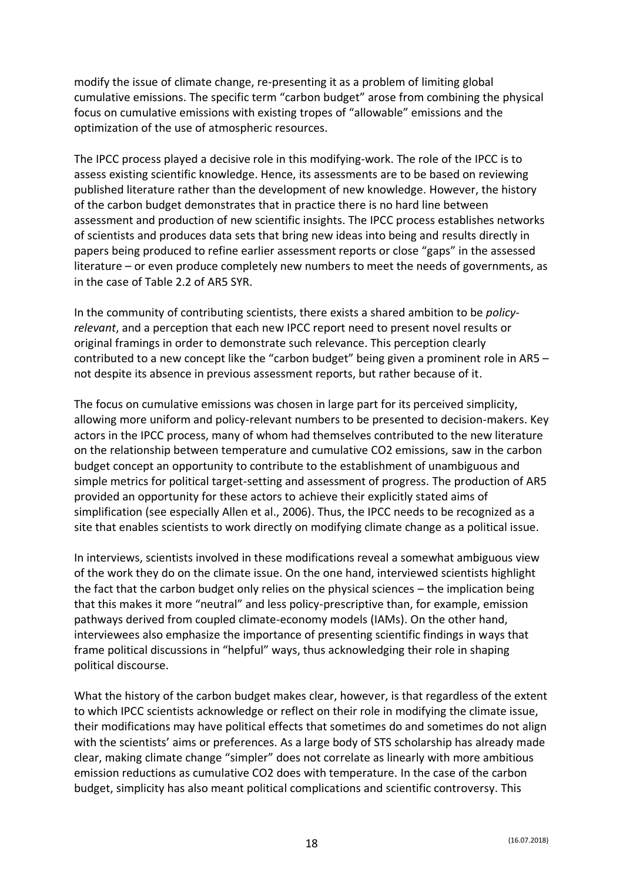modify the issue of climate change, re-presenting it as a problem of limiting global cumulative emissions. The specific term "carbon budget" arose from combining the physical focus on cumulative emissions with existing tropes of "allowable" emissions and the optimization of the use of atmospheric resources.

The IPCC process played a decisive role in this modifying-work. The role of the IPCC is to assess existing scientific knowledge. Hence, its assessments are to be based on reviewing published literature rather than the development of new knowledge. However, the history of the carbon budget demonstrates that in practice there is no hard line between assessment and production of new scientific insights. The IPCC process establishes networks of scientists and produces data sets that bring new ideas into being and results directly in papers being produced to refine earlier assessment reports or close "gaps" in the assessed literature – or even produce completely new numbers to meet the needs of governments, as in the case of Table 2.2 of AR5 SYR.

In the community of contributing scientists, there exists a shared ambition to be *policyrelevant*, and a perception that each new IPCC report need to present novel results or original framings in order to demonstrate such relevance. This perception clearly contributed to a new concept like the "carbon budget" being given a prominent role in AR5 – not despite its absence in previous assessment reports, but rather because of it.

The focus on cumulative emissions was chosen in large part for its perceived simplicity, allowing more uniform and policy-relevant numbers to be presented to decision-makers. Key actors in the IPCC process, many of whom had themselves contributed to the new literature on the relationship between temperature and cumulative CO2 emissions, saw in the carbon budget concept an opportunity to contribute to the establishment of unambiguous and simple metrics for political target-setting and assessment of progress. The production of AR5 provided an opportunity for these actors to achieve their explicitly stated aims of simplification (see especially Allen et al., 2006). Thus, the IPCC needs to be recognized as a site that enables scientists to work directly on modifying climate change as a political issue.

In interviews, scientists involved in these modifications reveal a somewhat ambiguous view of the work they do on the climate issue. On the one hand, interviewed scientists highlight the fact that the carbon budget only relies on the physical sciences – the implication being that this makes it more "neutral" and less policy-prescriptive than, for example, emission pathways derived from coupled climate-economy models (IAMs). On the other hand, interviewees also emphasize the importance of presenting scientific findings in ways that frame political discussions in "helpful" ways, thus acknowledging their role in shaping political discourse.

What the history of the carbon budget makes clear, however, is that regardless of the extent to which IPCC scientists acknowledge or reflect on their role in modifying the climate issue, their modifications may have political effects that sometimes do and sometimes do not align with the scientists' aims or preferences. As a large body of STS scholarship has already made clear, making climate change "simpler" does not correlate as linearly with more ambitious emission reductions as cumulative CO2 does with temperature. In the case of the carbon budget, simplicity has also meant political complications and scientific controversy. This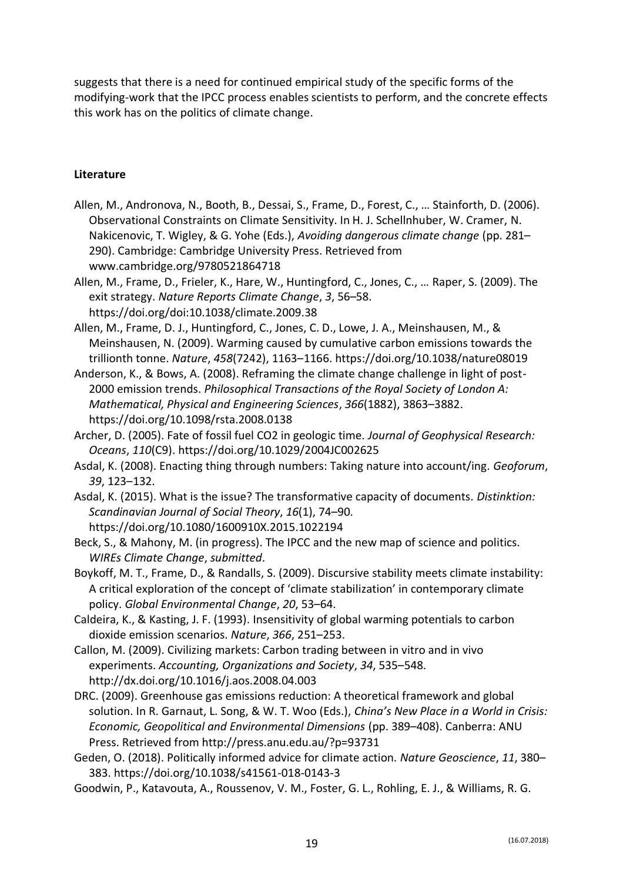suggests that there is a need for continued empirical study of the specific forms of the modifying-work that the IPCC process enables scientists to perform, and the concrete effects this work has on the politics of climate change.

## **Literature**

- Allen, M., Andronova, N., Booth, B., Dessai, S., Frame, D., Forest, C., … Stainforth, D. (2006). Observational Constraints on Climate Sensitivity. In H. J. Schellnhuber, W. Cramer, N. Nakicenovic, T. Wigley, & G. Yohe (Eds.), *Avoiding dangerous climate change* (pp. 281– 290). Cambridge: Cambridge University Press. Retrieved from www.cambridge.org/9780521864718
- Allen, M., Frame, D., Frieler, K., Hare, W., Huntingford, C., Jones, C., … Raper, S. (2009). The exit strategy. *Nature Reports Climate Change*, *3*, 56–58. https://doi.org/doi:10.1038/climate.2009.38
- Allen, M., Frame, D. J., Huntingford, C., Jones, C. D., Lowe, J. A., Meinshausen, M., & Meinshausen, N. (2009). Warming caused by cumulative carbon emissions towards the trillionth tonne. *Nature*, *458*(7242), 1163–1166. https://doi.org/10.1038/nature08019

Anderson, K., & Bows, A. (2008). Reframing the climate change challenge in light of post-2000 emission trends. *Philosophical Transactions of the Royal Society of London A: Mathematical, Physical and Engineering Sciences*, *366*(1882), 3863–3882. https://doi.org/10.1098/rsta.2008.0138

- Archer, D. (2005). Fate of fossil fuel CO2 in geologic time. *Journal of Geophysical Research: Oceans*, *110*(C9). https://doi.org/10.1029/2004JC002625
- Asdal, K. (2008). Enacting thing through numbers: Taking nature into account/ing. *Geoforum*, *39*, 123–132.

Asdal, K. (2015). What is the issue? The transformative capacity of documents. *Distinktion: Scandinavian Journal of Social Theory*, *16*(1), 74–90. https://doi.org/10.1080/1600910X.2015.1022194

Beck, S., & Mahony, M. (in progress). The IPCC and the new map of science and politics. *WIREs Climate Change*, *submitted*.

Boykoff, M. T., Frame, D., & Randalls, S. (2009). Discursive stability meets climate instability: A critical exploration of the concept of 'climate stabilization' in contemporary climate policy. *Global Environmental Change*, *20*, 53–64.

Caldeira, K., & Kasting, J. F. (1993). Insensitivity of global warming potentials to carbon dioxide emission scenarios. *Nature*, *366*, 251–253.

- Callon, M. (2009). Civilizing markets: Carbon trading between in vitro and in vivo experiments. *Accounting, Organizations and Society*, *34*, 535–548. http://dx.doi.org/10.1016/j.aos.2008.04.003
- DRC. (2009). Greenhouse gas emissions reduction: A theoretical framework and global solution. In R. Garnaut, L. Song, & W. T. Woo (Eds.), *China's New Place in a World in Crisis: Economic, Geopolitical and Environmental Dimensions* (pp. 389–408). Canberra: ANU Press. Retrieved from http://press.anu.edu.au/?p=93731

Geden, O. (2018). Politically informed advice for climate action. *Nature Geoscience*, *11*, 380– 383. https://doi.org/10.1038/s41561-018-0143-3

Goodwin, P., Katavouta, A., Roussenov, V. M., Foster, G. L., Rohling, E. J., & Williams, R. G.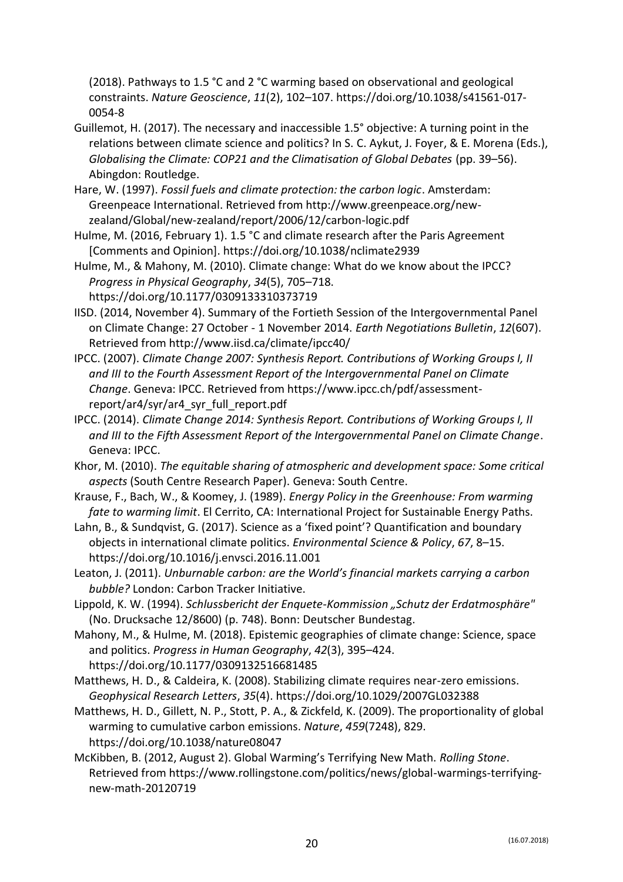(2018). Pathways to 1.5 °C and 2 °C warming based on observational and geological constraints. *Nature Geoscience*, *11*(2), 102–107. https://doi.org/10.1038/s41561-017- 0054-8

- Guillemot, H. (2017). The necessary and inaccessible 1.5° objective: A turning point in the relations between climate science and politics? In S. C. Aykut, J. Foyer, & E. Morena (Eds.), *Globalising the Climate: COP21 and the Climatisation of Global Debates* (pp. 39–56). Abingdon: Routledge.
- Hare, W. (1997). *Fossil fuels and climate protection: the carbon logic*. Amsterdam: Greenpeace International. Retrieved from http://www.greenpeace.org/newzealand/Global/new-zealand/report/2006/12/carbon-logic.pdf
- Hulme, M. (2016, February 1). 1.5 °C and climate research after the Paris Agreement [Comments and Opinion]. https://doi.org/10.1038/nclimate2939
- Hulme, M., & Mahony, M. (2010). Climate change: What do we know about the IPCC? *Progress in Physical Geography*, *34*(5), 705–718. https://doi.org/10.1177/0309133310373719
- IISD. (2014, November 4). Summary of the Fortieth Session of the Intergovernmental Panel on Climate Change: 27 October - 1 November 2014. *Earth Negotiations Bulletin*, *12*(607). Retrieved from http://www.iisd.ca/climate/ipcc40/
- IPCC. (2007). *Climate Change 2007: Synthesis Report. Contributions of Working Groups I, II and III to the Fourth Assessment Report of the Intergovernmental Panel on Climate Change*. Geneva: IPCC. Retrieved from https://www.ipcc.ch/pdf/assessmentreport/ar4/syr/ar4\_syr\_full\_report.pdf
- IPCC. (2014). *Climate Change 2014: Synthesis Report. Contributions of Working Groups I, II and III to the Fifth Assessment Report of the Intergovernmental Panel on Climate Change*. Geneva: IPCC.
- Khor, M. (2010). *The equitable sharing of atmospheric and development space: Some critical aspects* (South Centre Research Paper). Geneva: South Centre.
- Krause, F., Bach, W., & Koomey, J. (1989). *Energy Policy in the Greenhouse: From warming fate to warming limit*. El Cerrito, CA: International Project for Sustainable Energy Paths.
- Lahn, B., & Sundqvist, G. (2017). Science as a 'fixed point'? Quantification and boundary objects in international climate politics. *Environmental Science & Policy*, *67*, 8–15. https://doi.org/10.1016/j.envsci.2016.11.001
- Leaton, J. (2011). *Unburnable carbon: are the World's financial markets carrying a carbon bubble?* London: Carbon Tracker Initiative.
- Lippold, K. W. (1994). *Schlussbericht der Enquete-Kommission "Schutz der Erdatmosphäre"* (No. Drucksache 12/8600) (p. 748). Bonn: Deutscher Bundestag.
- Mahony, M., & Hulme, M. (2018). Epistemic geographies of climate change: Science, space and politics. *Progress in Human Geography*, *42*(3), 395–424. https://doi.org/10.1177/0309132516681485
- Matthews, H. D., & Caldeira, K. (2008). Stabilizing climate requires near-zero emissions. *Geophysical Research Letters*, *35*(4). https://doi.org/10.1029/2007GL032388
- Matthews, H. D., Gillett, N. P., Stott, P. A., & Zickfeld, K. (2009). The proportionality of global warming to cumulative carbon emissions. *Nature*, *459*(7248), 829. https://doi.org/10.1038/nature08047
- McKibben, B. (2012, August 2). Global Warming's Terrifying New Math. *Rolling Stone*. Retrieved from https://www.rollingstone.com/politics/news/global-warmings-terrifyingnew-math-20120719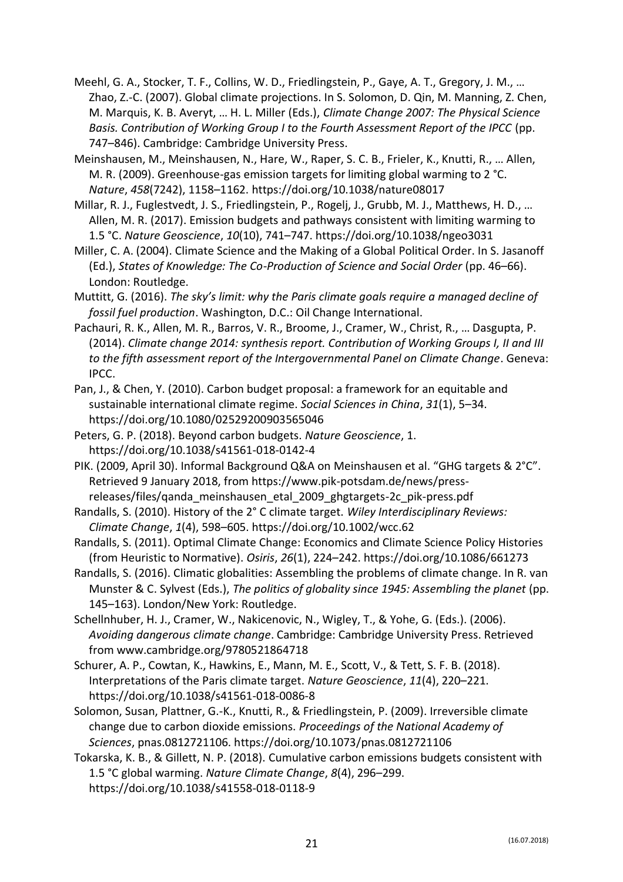- Meehl, G. A., Stocker, T. F., Collins, W. D., Friedlingstein, P., Gaye, A. T., Gregory, J. M., … Zhao, Z.-C. (2007). Global climate projections. In S. Solomon, D. Qin, M. Manning, Z. Chen, M. Marquis, K. B. Averyt, … H. L. Miller (Eds.), *Climate Change 2007: The Physical Science Basis. Contribution of Working Group I to the Fourth Assessment Report of the IPCC* (pp. 747–846). Cambridge: Cambridge University Press.
- Meinshausen, M., Meinshausen, N., Hare, W., Raper, S. C. B., Frieler, K., Knutti, R., … Allen, M. R. (2009). Greenhouse-gas emission targets for limiting global warming to 2 °C. *Nature*, *458*(7242), 1158–1162. https://doi.org/10.1038/nature08017
- Millar, R. J., Fuglestvedt, J. S., Friedlingstein, P., Rogelj, J., Grubb, M. J., Matthews, H. D., … Allen, M. R. (2017). Emission budgets and pathways consistent with limiting warming to 1.5 °C. *Nature Geoscience*, *10*(10), 741–747. https://doi.org/10.1038/ngeo3031
- Miller, C. A. (2004). Climate Science and the Making of a Global Political Order. In S. Jasanoff (Ed.), *States of Knowledge: The Co-Production of Science and Social Order* (pp. 46–66). London: Routledge.
- Muttitt, G. (2016). *The sky's limit: why the Paris climate goals require a managed decline of fossil fuel production*. Washington, D.C.: Oil Change International.
- Pachauri, R. K., Allen, M. R., Barros, V. R., Broome, J., Cramer, W., Christ, R., … Dasgupta, P. (2014). *Climate change 2014: synthesis report. Contribution of Working Groups I, II and III to the fifth assessment report of the Intergovernmental Panel on Climate Change*. Geneva: IPCC.
- Pan, J., & Chen, Y. (2010). Carbon budget proposal: a framework for an equitable and sustainable international climate regime. *Social Sciences in China*, *31*(1), 5–34. https://doi.org/10.1080/02529200903565046
- Peters, G. P. (2018). Beyond carbon budgets. *Nature Geoscience*, 1. https://doi.org/10.1038/s41561-018-0142-4
- PIK. (2009, April 30). Informal Background Q&A on Meinshausen et al. "GHG targets & 2°C". Retrieved 9 January 2018, from https://www.pik-potsdam.de/news/pressreleases/files/qanda\_meinshausen\_etal\_2009\_ghgtargets-2c\_pik-press.pdf
- Randalls, S. (2010). History of the 2° C climate target. *Wiley Interdisciplinary Reviews: Climate Change*, *1*(4), 598–605. https://doi.org/10.1002/wcc.62
- Randalls, S. (2011). Optimal Climate Change: Economics and Climate Science Policy Histories (from Heuristic to Normative). *Osiris*, *26*(1), 224–242. https://doi.org/10.1086/661273
- Randalls, S. (2016). Climatic globalities: Assembling the problems of climate change. In R. van Munster & C. Sylvest (Eds.), *The politics of globality since 1945: Assembling the planet* (pp. 145–163). London/New York: Routledge.
- Schellnhuber, H. J., Cramer, W., Nakicenovic, N., Wigley, T., & Yohe, G. (Eds.). (2006). *Avoiding dangerous climate change*. Cambridge: Cambridge University Press. Retrieved from www.cambridge.org/9780521864718
- Schurer, A. P., Cowtan, K., Hawkins, E., Mann, M. E., Scott, V., & Tett, S. F. B. (2018). Interpretations of the Paris climate target. *Nature Geoscience*, *11*(4), 220–221. https://doi.org/10.1038/s41561-018-0086-8
- Solomon, Susan, Plattner, G.-K., Knutti, R., & Friedlingstein, P. (2009). Irreversible climate change due to carbon dioxide emissions. *Proceedings of the National Academy of Sciences*, pnas.0812721106. https://doi.org/10.1073/pnas.0812721106
- Tokarska, K. B., & Gillett, N. P. (2018). Cumulative carbon emissions budgets consistent with 1.5 °C global warming. *Nature Climate Change*, *8*(4), 296–299. https://doi.org/10.1038/s41558-018-0118-9